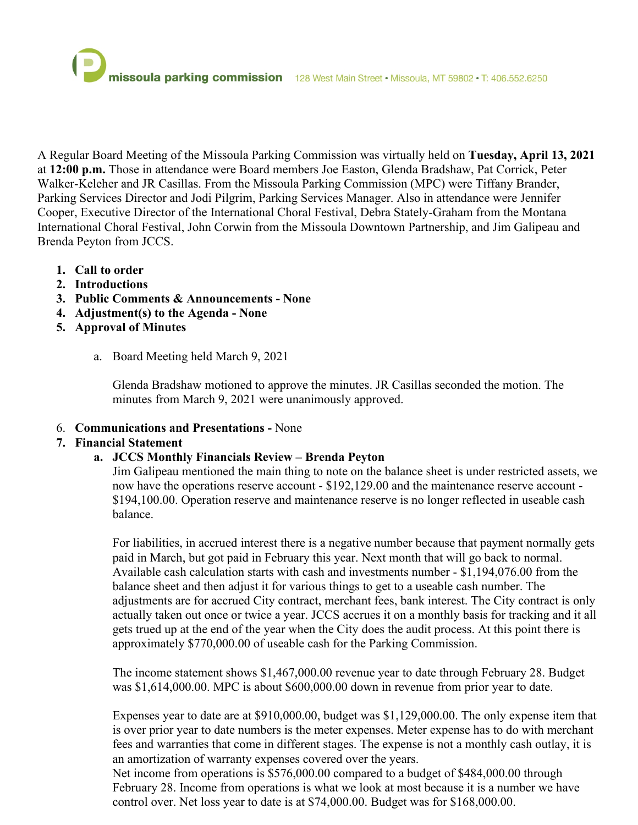A Regular Board Meeting of the Missoula Parking Commission was virtually held on **Tuesday, April 13, 2021** at **12:00 p.m.** Those in attendance were Board members Joe Easton, Glenda Bradshaw, Pat Corrick, Peter Walker-Keleher and JR Casillas. From the Missoula Parking Commission (MPC) were Tiffany Brander, Parking Services Director and Jodi Pilgrim, Parking Services Manager. Also in attendance were Jennifer Cooper, Executive Director of the International Choral Festival, Debra Stately-Graham from the Montana International Choral Festival, John Corwin from the Missoula Downtown Partnership, and Jim Galipeau and Brenda Peyton from JCCS.

- **1. Call to order**
- **2. Introductions**
- **3. Public Comments & Announcements None**
- **4. Adjustment(s) to the Agenda None**
- **5. Approval of Minutes** 
	- a. Board Meeting held March 9, 2021

Glenda Bradshaw motioned to approve the minutes. JR Casillas seconded the motion. The minutes from March 9, 2021 were unanimously approved.

6. **Communications and Presentations -** None

# **7. Financial Statement**

# **a. JCCS Monthly Financials Review – Brenda Peyton**

Jim Galipeau mentioned the main thing to note on the balance sheet is under restricted assets, we now have the operations reserve account - \$192,129.00 and the maintenance reserve account - \$194,100.00. Operation reserve and maintenance reserve is no longer reflected in useable cash balance.

For liabilities, in accrued interest there is a negative number because that payment normally gets paid in March, but got paid in February this year. Next month that will go back to normal. Available cash calculation starts with cash and investments number - \$1,194,076.00 from the balance sheet and then adjust it for various things to get to a useable cash number. The adjustments are for accrued City contract, merchant fees, bank interest. The City contract is only actually taken out once or twice a year. JCCS accrues it on a monthly basis for tracking and it all gets trued up at the end of the year when the City does the audit process. At this point there is approximately \$770,000.00 of useable cash for the Parking Commission.

The income statement shows \$1,467,000.00 revenue year to date through February 28. Budget was \$1,614,000.00. MPC is about \$600,000.00 down in revenue from prior year to date.

Expenses year to date are at \$910,000.00, budget was \$1,129,000.00. The only expense item that is over prior year to date numbers is the meter expenses. Meter expense has to do with merchant fees and warranties that come in different stages. The expense is not a monthly cash outlay, it is an amortization of warranty expenses covered over the years.

Net income from operations is \$576,000.00 compared to a budget of \$484,000.00 through February 28. Income from operations is what we look at most because it is a number we have control over. Net loss year to date is at \$74,000.00. Budget was for \$168,000.00.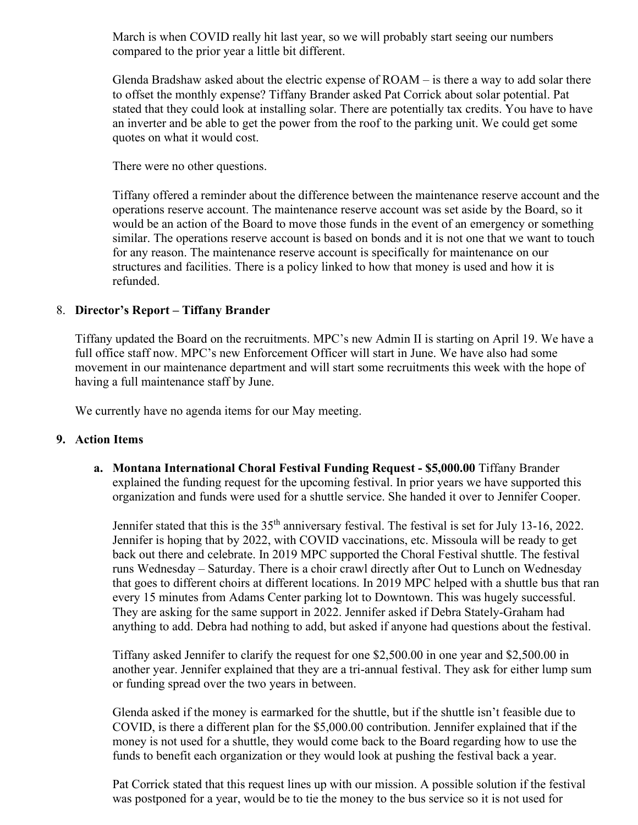March is when COVID really hit last year, so we will probably start seeing our numbers compared to the prior year a little bit different.

Glenda Bradshaw asked about the electric expense of ROAM – is there a way to add solar there to offset the monthly expense? Tiffany Brander asked Pat Corrick about solar potential. Pat stated that they could look at installing solar. There are potentially tax credits. You have to have an inverter and be able to get the power from the roof to the parking unit. We could get some quotes on what it would cost.

There were no other questions.

Tiffany offered a reminder about the difference between the maintenance reserve account and the operations reserve account. The maintenance reserve account was set aside by the Board, so it would be an action of the Board to move those funds in the event of an emergency or something similar. The operations reserve account is based on bonds and it is not one that we want to touch for any reason. The maintenance reserve account is specifically for maintenance on our structures and facilities. There is a policy linked to how that money is used and how it is refunded.

### 8. **Director's Report – Tiffany Brander**

Tiffany updated the Board on the recruitments. MPC's new Admin II is starting on April 19. We have a full office staff now. MPC's new Enforcement Officer will start in June. We have also had some movement in our maintenance department and will start some recruitments this week with the hope of having a full maintenance staff by June.

We currently have no agenda items for our May meeting.

### **9. Action Items**

**a. Montana International Choral Festival Funding Request - \$5,000.00** Tiffany Brander explained the funding request for the upcoming festival. In prior years we have supported this organization and funds were used for a shuttle service. She handed it over to Jennifer Cooper.

Jennifer stated that this is the 35<sup>th</sup> anniversary festival. The festival is set for July 13-16, 2022. Jennifer is hoping that by 2022, with COVID vaccinations, etc. Missoula will be ready to get back out there and celebrate. In 2019 MPC supported the Choral Festival shuttle. The festival runs Wednesday – Saturday. There is a choir crawl directly after Out to Lunch on Wednesday that goes to different choirs at different locations. In 2019 MPC helped with a shuttle bus that ran every 15 minutes from Adams Center parking lot to Downtown. This was hugely successful. They are asking for the same support in 2022. Jennifer asked if Debra Stately-Graham had anything to add. Debra had nothing to add, but asked if anyone had questions about the festival.

Tiffany asked Jennifer to clarify the request for one \$2,500.00 in one year and \$2,500.00 in another year. Jennifer explained that they are a tri-annual festival. They ask for either lump sum or funding spread over the two years in between.

Glenda asked if the money is earmarked for the shuttle, but if the shuttle isn't feasible due to COVID, is there a different plan for the \$5,000.00 contribution. Jennifer explained that if the money is not used for a shuttle, they would come back to the Board regarding how to use the funds to benefit each organization or they would look at pushing the festival back a year.

Pat Corrick stated that this request lines up with our mission. A possible solution if the festival was postponed for a year, would be to tie the money to the bus service so it is not used for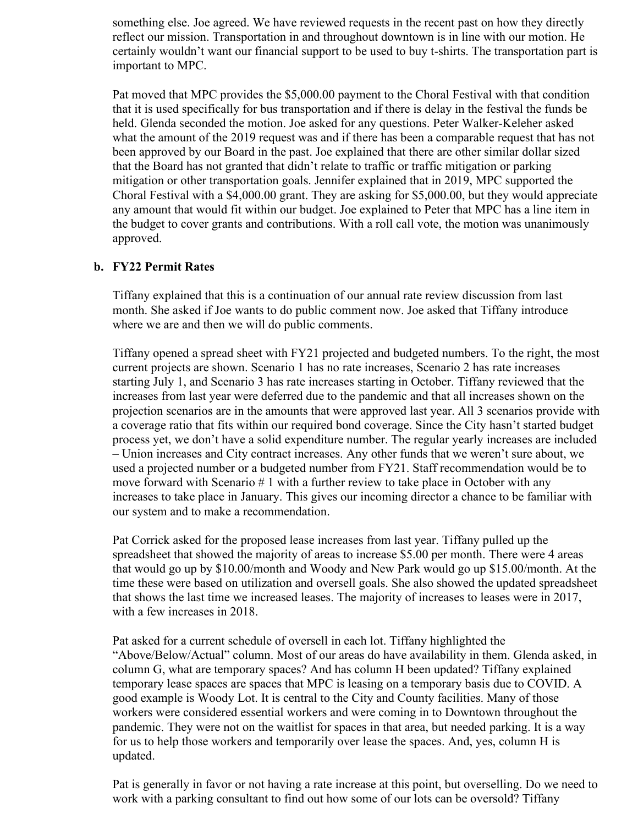something else. Joe agreed. We have reviewed requests in the recent past on how they directly reflect our mission. Transportation in and throughout downtown is in line with our motion. He certainly wouldn't want our financial support to be used to buy t-shirts. The transportation part is important to MPC.

Pat moved that MPC provides the \$5,000.00 payment to the Choral Festival with that condition that it is used specifically for bus transportation and if there is delay in the festival the funds be held. Glenda seconded the motion. Joe asked for any questions. Peter Walker-Keleher asked what the amount of the 2019 request was and if there has been a comparable request that has not been approved by our Board in the past. Joe explained that there are other similar dollar sized that the Board has not granted that didn't relate to traffic or traffic mitigation or parking mitigation or other transportation goals. Jennifer explained that in 2019, MPC supported the Choral Festival with a \$4,000.00 grant. They are asking for \$5,000.00, but they would appreciate any amount that would fit within our budget. Joe explained to Peter that MPC has a line item in the budget to cover grants and contributions. With a roll call vote, the motion was unanimously approved.

### **b. FY22 Permit Rates**

Tiffany explained that this is a continuation of our annual rate review discussion from last month. She asked if Joe wants to do public comment now. Joe asked that Tiffany introduce where we are and then we will do public comments.

Tiffany opened a spread sheet with FY21 projected and budgeted numbers. To the right, the most current projects are shown. Scenario 1 has no rate increases, Scenario 2 has rate increases starting July 1, and Scenario 3 has rate increases starting in October. Tiffany reviewed that the increases from last year were deferred due to the pandemic and that all increases shown on the projection scenarios are in the amounts that were approved last year. All 3 scenarios provide with a coverage ratio that fits within our required bond coverage. Since the City hasn't started budget process yet, we don't have a solid expenditure number. The regular yearly increases are included – Union increases and City contract increases. Any other funds that we weren't sure about, we used a projected number or a budgeted number from FY21. Staff recommendation would be to move forward with Scenario # 1 with a further review to take place in October with any increases to take place in January. This gives our incoming director a chance to be familiar with our system and to make a recommendation.

Pat Corrick asked for the proposed lease increases from last year. Tiffany pulled up the spreadsheet that showed the majority of areas to increase \$5.00 per month. There were 4 areas that would go up by \$10.00/month and Woody and New Park would go up \$15.00/month. At the time these were based on utilization and oversell goals. She also showed the updated spreadsheet that shows the last time we increased leases. The majority of increases to leases were in 2017, with a few increases in 2018.

Pat asked for a current schedule of oversell in each lot. Tiffany highlighted the "Above/Below/Actual" column. Most of our areas do have availability in them. Glenda asked, in column G, what are temporary spaces? And has column H been updated? Tiffany explained temporary lease spaces are spaces that MPC is leasing on a temporary basis due to COVID. A good example is Woody Lot. It is central to the City and County facilities. Many of those workers were considered essential workers and were coming in to Downtown throughout the pandemic. They were not on the waitlist for spaces in that area, but needed parking. It is a way for us to help those workers and temporarily over lease the spaces. And, yes, column H is updated.

Pat is generally in favor or not having a rate increase at this point, but overselling. Do we need to work with a parking consultant to find out how some of our lots can be oversold? Tiffany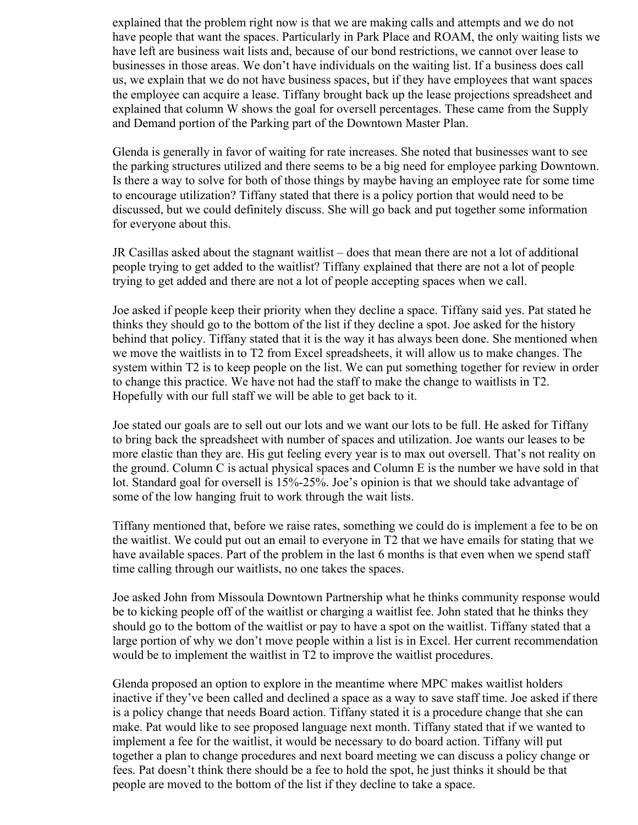explained that the problem right now is that we are making calls and attempts and we do not have people that want the spaces. Particularly in Park Place and ROAM, the only waiting lists we have left are business wait lists and, because of our bond restrictions, we cannot over lease to businesses in those areas. We don't have individuals on the waiting list. If a business does call us, we explain that we do not have business spaces, but if they have employees that want spaces the employee can acquire a lease. Tiffany brought back up the lease projections spreadsheet and explained that column W shows the goal for oversell percentages. These came from the Supply and Demand portion of the Parking part of the Downtown Master Plan.

Glenda is generally in favor of waiting for rate increases. She noted that businesses want to see the parking structures utilized and there seems to be a big need for employee parking Downtown. Is there a way to solve for both of those things by maybe having an employee rate for some time to encourage utilization? Tiffany stated that there is a policy portion that would need to be discussed, but we could definitely discuss. She will go back and put together some information for everyone about this.

JR Casillas asked about the stagnant waitlist – does that mean there are not a lot of additional people trying to get added to the waitlist? Tiffany explained that there are not a lot of people trying to get added and there are not a lot of people accepting spaces when we call.

Joe asked if people keep their priority when they decline a space. Tiffany said yes. Pat stated he thinks they should go to the bottom of the list if they decline a spot. Joe asked for the history behind that policy. Tiffany stated that it is the way it has always been done. She mentioned when we move the waitlists in to T2 from Excel spreadsheets, it will allow us to make changes. The system within T2 is to keep people on the list. We can put something together for review in order to change this practice. We have not had the staff to make the change to waitlists in T2. Hopefully with our full staff we will be able to get back to it.

Joe stated our goals are to sell out our lots and we want our lots to be full. He asked for Tiffany to bring back the spreadsheet with number of spaces and utilization. Joe wants our leases to be more elastic than they are. His gut feeling every year is to max out oversell. That's not reality on the ground. Column C is actual physical spaces and Column E is the number we have sold in that lot. Standard goal for oversell is 15%-25%. Joe's opinion is that we should take advantage of some of the low hanging fruit to work through the wait lists.

Tiffany mentioned that, before we raise rates, something we could do is implement a fee to be on the waitlist. We could put out an email to everyone in T2 that we have emails for stating that we have available spaces. Part of the problem in the last 6 months is that even when we spend staff time calling through our waitlists, no one takes the spaces.

Joe asked John from Missoula Downtown Partnership what he thinks community response would be to kicking people off of the waitlist or charging a waitlist fee. John stated that he thinks they should go to the bottom of the waitlist or pay to have a spot on the waitlist. Tiffany stated that a large portion of why we don't move people within a list is in Excel. Her current recommendation would be to implement the waitlist in T2 to improve the waitlist procedures.

Glenda proposed an option to explore in the meantime where MPC makes waitlist holders inactive if they've been called and declined a space as a way to save staff time. Joe asked if there is a policy change that needs Board action. Tiffany stated it is a procedure change that she can make. Pat would like to see proposed language next month. Tiffany stated that if we wanted to implement a fee for the waitlist, it would be necessary to do board action. Tiffany will put together a plan to change procedures and next board meeting we can discuss a policy change or fees. Pat doesn't think there should be a fee to hold the spot, he just thinks it should be that people are moved to the bottom of the list if they decline to take a space.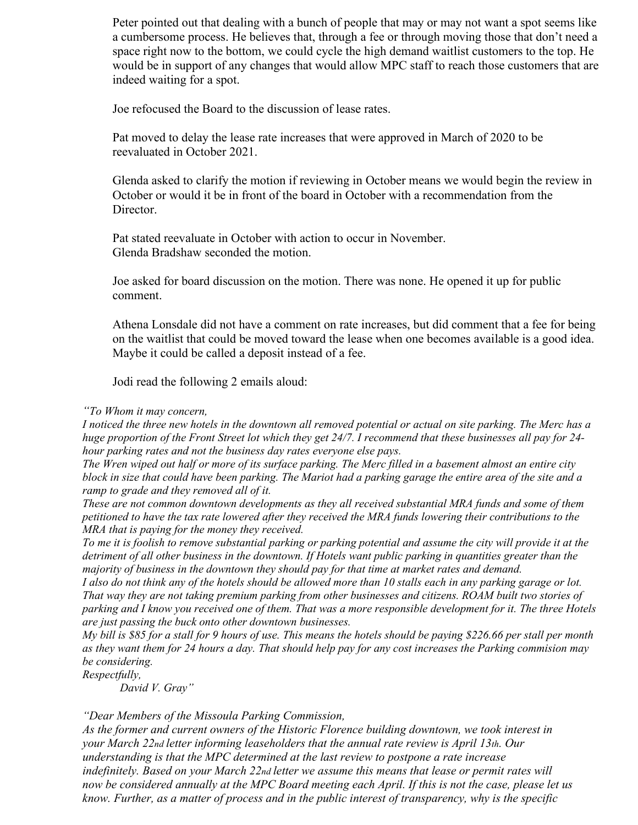Peter pointed out that dealing with a bunch of people that may or may not want a spot seems like a cumbersome process. He believes that, through a fee or through moving those that don't need a space right now to the bottom, we could cycle the high demand waitlist customers to the top. He would be in support of any changes that would allow MPC staff to reach those customers that are indeed waiting for a spot.

Joe refocused the Board to the discussion of lease rates.

Pat moved to delay the lease rate increases that were approved in March of 2020 to be reevaluated in October 2021.

Glenda asked to clarify the motion if reviewing in October means we would begin the review in October or would it be in front of the board in October with a recommendation from the Director.

Pat stated reevaluate in October with action to occur in November. Glenda Bradshaw seconded the motion.

Joe asked for board discussion on the motion. There was none. He opened it up for public comment.

Athena Lonsdale did not have a comment on rate increases, but did comment that a fee for being on the waitlist that could be moved toward the lease when one becomes available is a good idea. Maybe it could be called a deposit instead of a fee.

Jodi read the following 2 emails aloud:

#### *"To Whom it may concern,*

*I noticed the three new hotels in the downtown all removed potential or actual on site parking. The Merc has a huge proportion of the Front Street lot which they get 24/7. I recommend that these businesses all pay for 24 hour parking rates and not the business day rates everyone else pays.* 

*The Wren wiped out half or more of its surface parking. The Merc filled in a basement almost an entire city block in size that could have been parking. The Mariot had a parking garage the entire area of the site and a ramp to grade and they removed all of it.* 

*These are not common downtown developments as they all received substantial MRA funds and some of them petitioned to have the tax rate lowered after they received the MRA funds lowering their contributions to the MRA that is paying for the money they received.* 

*To me it is foolish to remove substantial parking or parking potential and assume the city will provide it at the detriment of all other business in the downtown. If Hotels want public parking in quantities greater than the majority of business in the downtown they should pay for that time at market rates and demand.* 

*I also do not think any of the hotels should be allowed more than 10 stalls each in any parking garage or lot. That way they are not taking premium parking from other businesses and citizens. ROAM built two stories of parking and I know you received one of them. That was a more responsible development for it. The three Hotels are just passing the buck onto other downtown businesses.* 

*My bill is \$85 for a stall for 9 hours of use. This means the hotels should be paying \$226.66 per stall per month as they want them for 24 hours a day. That should help pay for any cost increases the Parking commision may be considering.* 

*Respectfully,* 

*David V. Gray"*

*"Dear Members of the Missoula Parking Commission,*

*As the former and current owners of the Historic Florence building downtown, we took interest in your March 22nd letter informing leaseholders that the annual rate review is April 13th. Our understanding is that the MPC determined at the last review to postpone a rate increase indefinitely. Based on your March 22nd letter we assume this means that lease or permit rates will now be considered annually at the MPC Board meeting each April. If this is not the case, please let us know. Further, as a matter of process and in the public interest of transparency, why is the specific*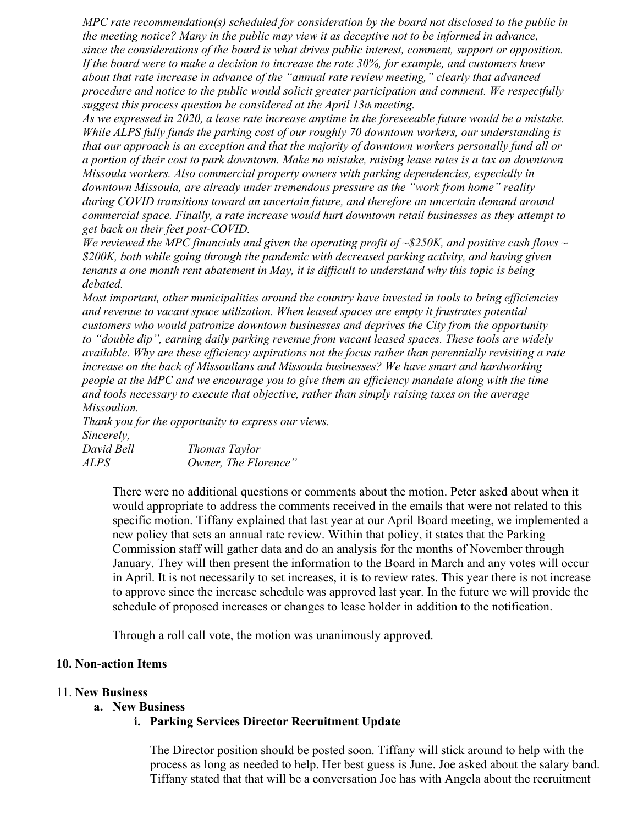*MPC rate recommendation(s) scheduled for consideration by the board not disclosed to the public in the meeting notice? Many in the public may view it as deceptive not to be informed in advance, since the considerations of the board is what drives public interest, comment, support or opposition. If the board were to make a decision to increase the rate 30%, for example, and customers knew about that rate increase in advance of the "annual rate review meeting," clearly that advanced procedure and notice to the public would solicit greater participation and comment. We respectfully suggest this process question be considered at the April 13th meeting.*

*As we expressed in 2020, a lease rate increase anytime in the foreseeable future would be a mistake. While ALPS fully funds the parking cost of our roughly 70 downtown workers, our understanding is that our approach is an exception and that the majority of downtown workers personally fund all or a portion of their cost to park downtown. Make no mistake, raising lease rates is a tax on downtown Missoula workers. Also commercial property owners with parking dependencies, especially in downtown Missoula, are already under tremendous pressure as the "work from home" reality during COVID transitions toward an uncertain future, and therefore an uncertain demand around commercial space. Finally, a rate increase would hurt downtown retail businesses as they attempt to get back on their feet post-COVID.*

*We reviewed the MPC financials and given the operating profit of ~\$250K, and positive cash flows ~ \$200K, both while going through the pandemic with decreased parking activity, and having given tenants a one month rent abatement in May, it is difficult to understand why this topic is being debated.*

*Most important, other municipalities around the country have invested in tools to bring efficiencies and revenue to vacant space utilization. When leased spaces are empty it frustrates potential customers who would patronize downtown businesses and deprives the City from the opportunity to "double dip", earning daily parking revenue from vacant leased spaces. These tools are widely available. Why are these efficiency aspirations not the focus rather than perennially revisiting a rate increase on the back of Missoulians and Missoula businesses? We have smart and hardworking people at the MPC and we encourage you to give them an efficiency mandate along with the time and tools necessary to execute that objective, rather than simply raising taxes on the average Missoulian.*

*Thank you for the opportunity to express our views. Sincerely,*

| David Bell | Thomas Taylor        |
|------------|----------------------|
| ALPS       | Owner, The Florence" |

There were no additional questions or comments about the motion. Peter asked about when it would appropriate to address the comments received in the emails that were not related to this specific motion. Tiffany explained that last year at our April Board meeting, we implemented a new policy that sets an annual rate review. Within that policy, it states that the Parking Commission staff will gather data and do an analysis for the months of November through January. They will then present the information to the Board in March and any votes will occur in April. It is not necessarily to set increases, it is to review rates. This year there is not increase to approve since the increase schedule was approved last year. In the future we will provide the schedule of proposed increases or changes to lease holder in addition to the notification.

Through a roll call vote, the motion was unanimously approved.

### **10. Non-action Items**

### 11. **New Business**

### **a. New Business**

### **i. Parking Services Director Recruitment Update**

The Director position should be posted soon. Tiffany will stick around to help with the process as long as needed to help. Her best guess is June. Joe asked about the salary band. Tiffany stated that that will be a conversation Joe has with Angela about the recruitment